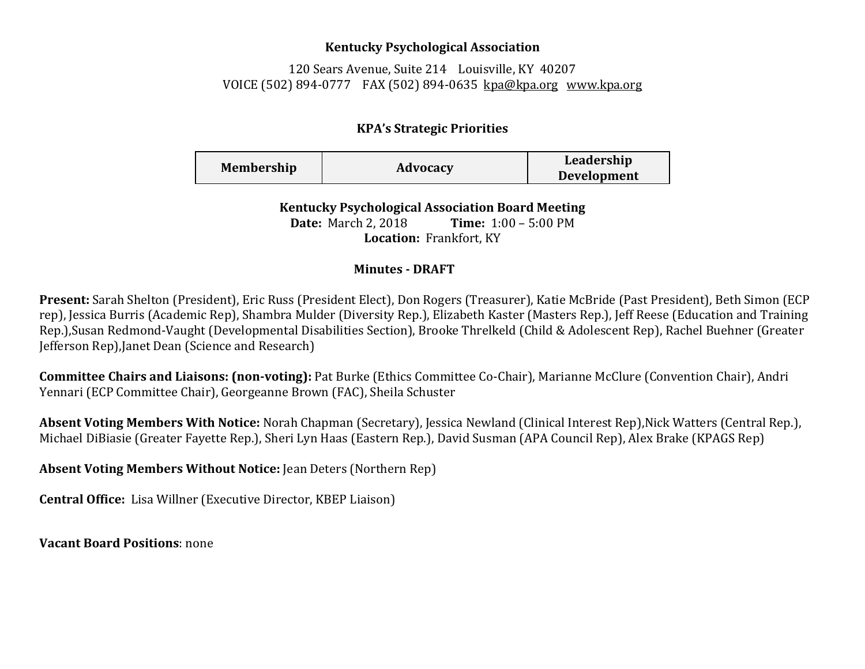## **Kentucky Psychological Association**

120 Sears Avenue, Suite 214 Louisville, KY 40207 VOICE (502) 894-0777 FAX (502) 894-0635 [kpa@kpa.org](mailto:kpa@kih.net) [www.kpa.org](http://www.kpa.org/)

## **KPA's Strategic Priorities**

| <b>Membership</b> | Advocacy | Leadership         |
|-------------------|----------|--------------------|
|                   |          | <b>Development</b> |

**Kentucky Psychological Association Board Meeting Date:** March 2, 2018 **Time:** 1:00 – 5:00 PM **Location:** Frankfort, KY

## **Minutes - DRAFT**

**Present:** Sarah Shelton (President), Eric Russ (President Elect), Don Rogers (Treasurer), Katie McBride (Past President), Beth Simon (ECP rep), Jessica Burris (Academic Rep), Shambra Mulder (Diversity Rep.), Elizabeth Kaster (Masters Rep.), Jeff Reese (Education and Training Rep.),Susan Redmond-Vaught (Developmental Disabilities Section), Brooke Threlkeld (Child & Adolescent Rep), Rachel Buehner (Greater Jefferson Rep),Janet Dean (Science and Research)

**Committee Chairs and Liaisons: (non-voting):** Pat Burke (Ethics Committee Co-Chair), Marianne McClure (Convention Chair), Andri Yennari (ECP Committee Chair), Georgeanne Brown (FAC), Sheila Schuster

**Absent Voting Members With Notice:** Norah Chapman (Secretary), Jessica Newland (Clinical Interest Rep),Nick Watters (Central Rep.), Michael DiBiasie (Greater Fayette Rep.), Sheri Lyn Haas (Eastern Rep.), David Susman (APA Council Rep), Alex Brake (KPAGS Rep)

**Absent Voting Members Without Notice:** Jean Deters (Northern Rep)

**Central Office:** Lisa Willner (Executive Director, KBEP Liaison)

**Vacant Board Positions**: none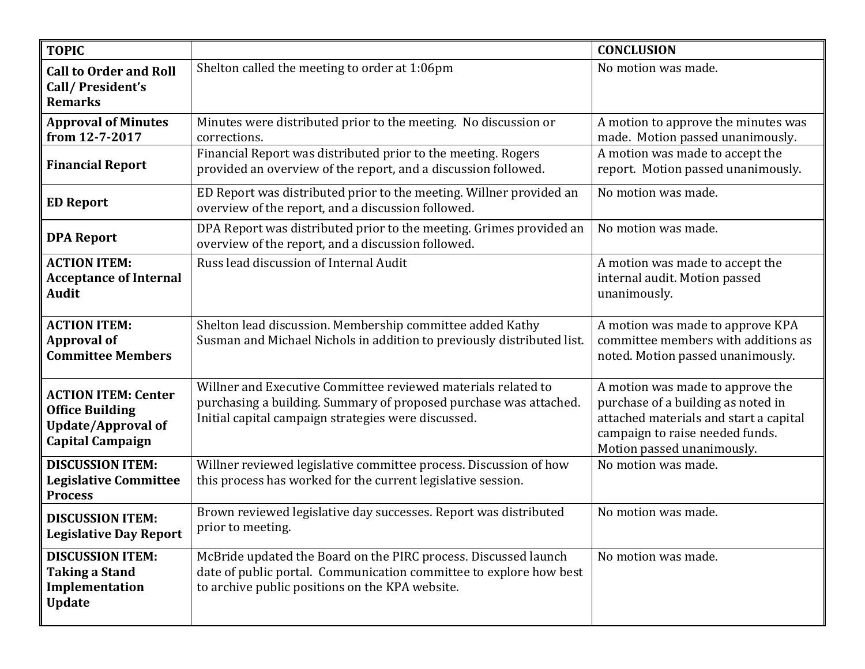| <b>TOPIC</b>                                                                                                 |                                                                                                                                                                                           | <b>CONCLUSION</b>                                                                                                                                                                 |
|--------------------------------------------------------------------------------------------------------------|-------------------------------------------------------------------------------------------------------------------------------------------------------------------------------------------|-----------------------------------------------------------------------------------------------------------------------------------------------------------------------------------|
| <b>Call to Order and Roll</b><br>Call/President's<br><b>Remarks</b>                                          | Shelton called the meeting to order at 1:06pm                                                                                                                                             | No motion was made.                                                                                                                                                               |
| <b>Approval of Minutes</b><br>from 12-7-2017                                                                 | Minutes were distributed prior to the meeting. No discussion or<br>corrections.                                                                                                           | A motion to approve the minutes was<br>made. Motion passed unanimously.                                                                                                           |
| <b>Financial Report</b>                                                                                      | Financial Report was distributed prior to the meeting. Rogers<br>provided an overview of the report, and a discussion followed.                                                           | A motion was made to accept the<br>report. Motion passed unanimously.                                                                                                             |
| <b>ED Report</b>                                                                                             | ED Report was distributed prior to the meeting. Willner provided an<br>overview of the report, and a discussion followed.                                                                 | No motion was made.                                                                                                                                                               |
| <b>DPA Report</b>                                                                                            | DPA Report was distributed prior to the meeting. Grimes provided an<br>overview of the report, and a discussion followed.                                                                 | No motion was made.                                                                                                                                                               |
| <b>ACTION ITEM:</b><br><b>Acceptance of Internal</b><br><b>Audit</b>                                         | Russ lead discussion of Internal Audit                                                                                                                                                    | A motion was made to accept the<br>internal audit. Motion passed<br>unanimously.                                                                                                  |
| <b>ACTION ITEM:</b><br><b>Approval of</b><br><b>Committee Members</b>                                        | Shelton lead discussion. Membership committee added Kathy<br>Susman and Michael Nichols in addition to previously distributed list.                                                       | A motion was made to approve KPA<br>committee members with additions as<br>noted. Motion passed unanimously.                                                                      |
| <b>ACTION ITEM: Center</b><br><b>Office Building</b><br><b>Update/Approval of</b><br><b>Capital Campaign</b> | Willner and Executive Committee reviewed materials related to<br>purchasing a building. Summary of proposed purchase was attached.<br>Initial capital campaign strategies were discussed. | A motion was made to approve the<br>purchase of a building as noted in<br>attached materials and start a capital<br>campaign to raise needed funds.<br>Motion passed unanimously. |
| <b>DISCUSSION ITEM:</b><br><b>Legislative Committee</b><br><b>Process</b>                                    | Willner reviewed legislative committee process. Discussion of how<br>this process has worked for the current legislative session.                                                         | No motion was made.                                                                                                                                                               |
| <b>DISCUSSION ITEM:</b><br><b>Legislative Day Report</b>                                                     | Brown reviewed legislative day successes. Report was distributed<br>prior to meeting.                                                                                                     | No motion was made.                                                                                                                                                               |
| <b>DISCUSSION ITEM:</b><br><b>Taking a Stand</b><br>Implementation<br><b>Update</b>                          | McBride updated the Board on the PIRC process. Discussed launch<br>date of public portal. Communication committee to explore how best<br>to archive public positions on the KPA website.  | No motion was made.                                                                                                                                                               |